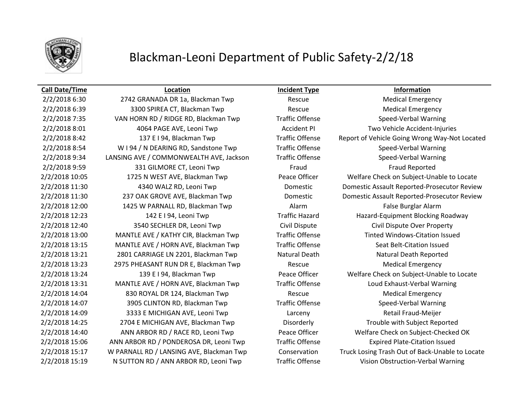

# Blackman-Leoni Department of Public Safety-2/2/18

### **Call Date/Time Location Incident Type Information**

2/2/2018 6:30 2742 GRANADA DR 1a, Blackman Twp Rescue Medical Emergency 2/2/2018 6:39 3300 SPIREA CT, Blackman Twp Rescue Medical Emergency 2/2/2018 7:35 VAN HORN RD / RIDGE RD, Blackman Twp Traffic Offense Speed-Verbal Warning 2/2/2018 8:01 4064 PAGE AVE, Leoni Twp Accident PI Two Vehicle Accident-Injuries 2/2/2018 8:54 W I 94 / N DEARING RD, Sandstone Twp Traffic Offense Speed-Verbal Warning 2/2/2018 9:34 LANSING AVE / COMMONWEALTH AVE, Jackson Traffic Offense Speed-Verbal Warning 2/2/2018 9:59 331 GILMORE CT, Leoni Twp Fraud Fraud Fraud Fraud Fraud Reported 2/2/2018 12:00 1425 W PARNALL RD, Blackman Twp **Alarm Alarm False Burglar Alarm** False Burglar Alarm 2/2/2018 12:40 3540 SECHLER DR, Leoni Twp Civil Dispute Civil Dispute Over Property 2/2/2018 13:00 MANTLE AVE / KATHY CIR, Blackman Twp Traffic Offense Tinted Windows-Citation Issued 2/2/2018 13:15 MANTLE AVE / HORN AVE, Blackman Twp Traffic Offense Seat Belt-Citation Issued 2/2/2018 13:21 2801 CARRIAGE LN 2201, Blackman Twp Natural Death Natural Death Natural Death Reported 2/2/2018 13:23 2975 PHEASANT RUN DR E, Blackman Twp Rescue Medical Emergency 2/2/2018 13:31 MANTLE AVE / HORN AVE, Blackman Twp Traffic Offense Loud Exhaust-Verbal Warning 2/2/2018 14:04 830 ROYAL DR 124, Blackman Twp Rescue Rescue Medical Emergency 2/2/2018 14:07 3905 CLINTON RD, Blackman Twp Traffic Offense Speed-Verbal Warning 2/2/2018 14:09 3333 E MICHIGAN AVE, Leoni Twp Larceny Retail Fraud-Meijer 2/2/2018 14:25 2704 E MICHIGAN AVE, Blackman Twp Disorderly Trouble with Subject Reported 2/2/2018 15:06 ANN ARBOR RD / PONDEROSA DR, Leoni Twp Traffic Offense Expired Plate-Citation Issued

2/2/2018 8:42 137 E I 94, Blackman Twp Traffic Offense Report of Vehicle Going Wrong Way-Not Located 2/2/2018 10:05 1725 N WEST AVE, Blackman Twp Peace Officer Welfare Check on Subject-Unable to Locate 2/2/2018 11:30 4340 WALZ RD, Leoni Twp Domestic Domestic Assault Reported-Prosecutor Review 2/2/2018 11:30 237 OAK GROVE AVE, Blackman Twp Domestic Domestic Assault Reported-Prosecutor Review 2/2/2018 12:23 142 E I 94, Leoni Twp Traffic Hazard Hazard Hazard-Equipment Blocking Roadway 2/2/2018 13:24 139 E I 94, Blackman Twp Peace Officer Welfare Check on Subject-Unable to Locate 2/2/2018 14:40 ANN ARBOR RD / RACE RD, Leoni Twp Peace Officer Welfare Check on Subject-Checked OK 2/2/2018 15:17 W PARNALL RD / LANSING AVE, Blackman Twp Conservation Truck Losing Trash Out of Back-Unable to Locate 2/2/2018 15:19 N SUTTON RD / ANN ARBOR RD, Leoni Twp Traffic Offense Vision Obstruction-Verbal Warning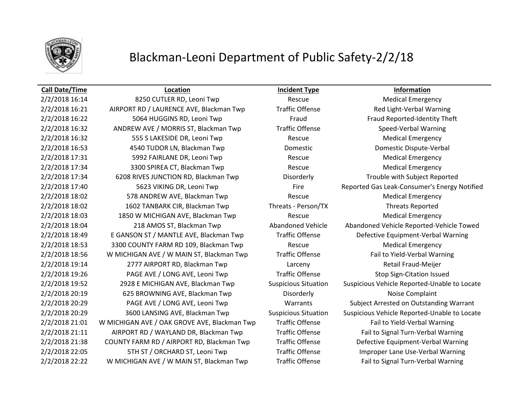

## Blackman-Leoni Department of Public Safety-2/2/18

### **Call Date/Time Location Incident Type Information**

2/2/2018 16:21 AIRPORT RD / LAURENCE AVE, Blackman Twp Traffic Offense Red Light-Verbal Warning 2/2/2018 16:22 5064 HUGGINS RD, Leoni Twp Fraud Fraud Fraud Fraud Reported-Identity Theft 2/2/2018 16:32 ANDREW AVE / MORRIS ST, Blackman Twp Traffic Offense Speed-Verbal Warning 2/2/2018 16:32 **555 S LAKESIDE DR, Leoni Twp** Rescue Rescue Rescue Medical Emergency 2/2/2018 16:53 4540 TUDOR LN, Blackman Twp Domestic Domestic Dispute-Verbal 2/2/2018 17:31 5992 FAIRLANE DR, Leoni Twp Rescue Rescue Medical Emergency 2/2/2018 17:34 3300 SPIREA CT, Blackman Twp Rescue Medical Emergency 2/2/2018 17:34 6208 RIVES JUNCTION RD, Blackman Twp Disorderly Trouble with Subject Reported 2/2/2018 18:02 **578 ANDREW AVE, Blackman Twp** Rescue Rescue Medical Emergency 2/2/2018 18:02 1602 TANBARK CIR, Blackman Twp Threats - Person/TX Threats Reported 2/2/2018 18:03 1850 W MICHIGAN AVE, Blackman Twp Rescue Rescue Medical Emergency 2/2/2018 18:53 3300 COUNTY FARM RD 109, Blackman Twp Rescue Medical Emergency 2/2/2018 18:56 W MICHIGAN AVE / W MAIN ST, Blackman Twp Traffic Offense Fail to Yield-Verbal Warning 2/2/2018 19:14 2777 AIRPORT RD, Blackman Twp Larceny Retail Fraud-Meijer 2/2/2018 19:26 PAGE AVE / LONG AVE, Leoni Twp Traffic Offense Stop Sign-Citation Issued 2/2/2018 20:19 625 BROWNING AVE, Blackman Twp Disorderly Disorderly Noise Complaint 2/2/2018 21:01 W MICHIGAN AVE / OAK GROVE AVE, Blackman Twp Traffic Offense Fail to Yield-Verbal Warning 2/2/2018 21:11 AIRPORT RD / WAYLAND DR, Blackman Twp Traffic Offense Fail to Signal Turn-Verbal Warning 2/2/2018 22:22 W MICHIGAN AVE / W MAIN ST, Blackman Twp Traffic Offense Fail to Signal Turn-Verbal Warning

2/2/2018 16:14 **8250 CUTLER RD, Leoni Twp** Rescue Rescue Medical Emergency 2/2/2018 17:40 5623 VIKING DR, Leoni Twp Fire Reported Gas Leak-Consumer's Energy Notified 2/2/2018 18:04 218 AMOS ST, Blackman Twp Abandoned Vehicle Abandoned Vehicle Reported-Vehicle Towed 2/2/2018 18:49 E GANSON ST / MANTLE AVE, Blackman Twp Traffic Offense Defective Equipment-Verbal Warning 2/2/2018 19:52 2928 E MICHIGAN AVE, Blackman Twp Suspicious Situation Suspicious Vehicle Reported-Unable to Locate 2/2/2018 20:29 PAGE AVE / LONG AVE, Leoni Twp Warrants Subject Arrested on Outstanding Warrant 2/2/2018 20:29 3600 LANSING AVE, Blackman Twp Suspicious Situation Suspicious Vehicle Reported-Unable to Locate 2/2/2018 21:38 COUNTY FARM RD / AIRPORT RD, Blackman Twp Traffic Offense Defective Equipment-Verbal Warning 2/2/2018 22:05 5TH ST / ORCHARD ST, Leoni Twp Traffic Offense Improper Lane Use-Verbal Warning